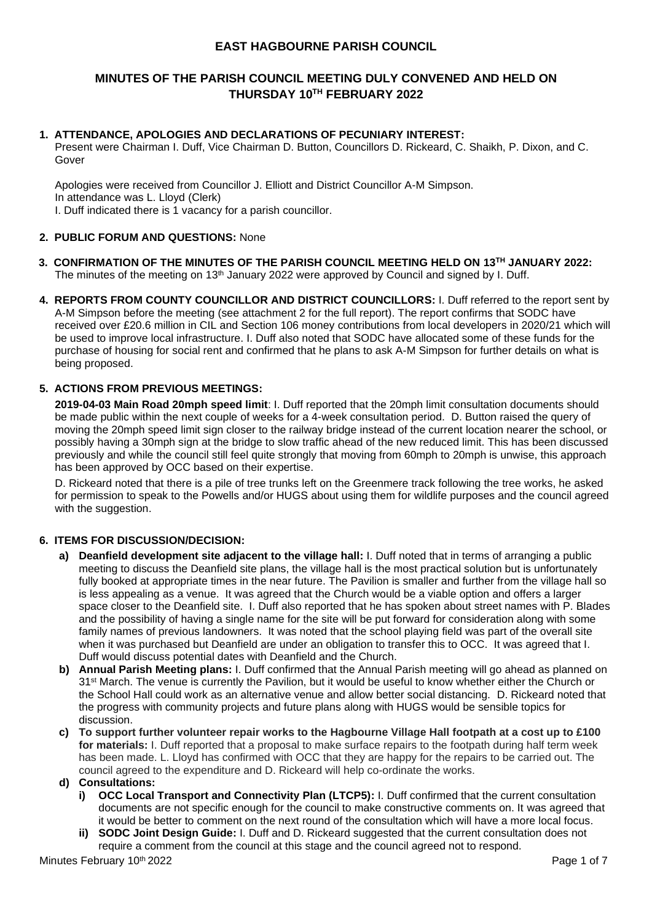## **EAST HAGBOURNE PARISH COUNCIL**

# **MINUTES OF THE PARISH COUNCIL MEETING DULY CONVENED AND HELD ON THURSDAY 10 TH FEBRUARY 2022**

## **1. ATTENDANCE, APOLOGIES AND DECLARATIONS OF PECUNIARY INTEREST:**

Present were Chairman I. Duff, Vice Chairman D. Button, Councillors D. Rickeard, C. Shaikh, P. Dixon, and C. Gover

Apologies were received from Councillor J. Elliott and District Councillor A-M Simpson. In attendance was L. Lloyd (Clerk) I. Duff indicated there is 1 vacancy for a parish councillor.

### **2. PUBLIC FORUM AND QUESTIONS:** None

- **3. CONFIRMATION OF THE MINUTES OF THE PARISH COUNCIL MEETING HELD ON 13TH JANUARY 2022:** The minutes of the meeting on  $13<sup>th</sup>$  January 2022 were approved by Council and signed by I. Duff.
- **4. REPORTS FROM COUNTY COUNCILLOR AND DISTRICT COUNCILLORS:** I. Duff referred to the report sent by A-M Simpson before the meeting (see attachment 2 for the full report). The report confirms that SODC have received over £20.6 million in CIL and Section 106 money contributions from local developers in 2020/21 which will be used to improve local infrastructure. I. Duff also noted that SODC have allocated some of these funds for the purchase of housing for social rent and confirmed that he plans to ask A-M Simpson for further details on what is being proposed.

### **5. ACTIONS FROM PREVIOUS MEETINGS:**

**2019-04-03 Main Road 20mph speed limit**: I. Duff reported that the 20mph limit consultation documents should be made public within the next couple of weeks for a 4-week consultation period. D. Button raised the query of moving the 20mph speed limit sign closer to the railway bridge instead of the current location nearer the school, or possibly having a 30mph sign at the bridge to slow traffic ahead of the new reduced limit. This has been discussed previously and while the council still feel quite strongly that moving from 60mph to 20mph is unwise, this approach has been approved by OCC based on their expertise.

D. Rickeard noted that there is a pile of tree trunks left on the Greenmere track following the tree works, he asked for permission to speak to the Powells and/or HUGS about using them for wildlife purposes and the council agreed with the suggestion.

### **6. ITEMS FOR DISCUSSION/DECISION:**

- **a) Deanfield development site adjacent to the village hall:** I. Duff noted that in terms of arranging a public meeting to discuss the Deanfield site plans, the village hall is the most practical solution but is unfortunately fully booked at appropriate times in the near future. The Pavilion is smaller and further from the village hall so is less appealing as a venue. It was agreed that the Church would be a viable option and offers a larger space closer to the Deanfield site. I. Duff also reported that he has spoken about street names with P. Blades and the possibility of having a single name for the site will be put forward for consideration along with some family names of previous landowners. It was noted that the school playing field was part of the overall site when it was purchased but Deanfield are under an obligation to transfer this to OCC. It was agreed that I. Duff would discuss potential dates with Deanfield and the Church.
- **b) Annual Parish Meeting plans:** I. Duff confirmed that the Annual Parish meeting will go ahead as planned on 31<sup>st</sup> March. The venue is currently the Pavilion, but it would be useful to know whether either the Church or the School Hall could work as an alternative venue and allow better social distancing.D. Rickeard noted that the progress with community projects and future plans along with HUGS would be sensible topics for discussion.
- **c) To support further volunteer repair works to the Hagbourne Village Hall footpath at a cost up to £100 for materials:** I. Duff reported that a proposal to make surface repairs to the footpath during half term week has been made. L. Lloyd has confirmed with OCC that they are happy for the repairs to be carried out. The council agreed to the expenditure and D. Rickeard will help co-ordinate the works.
- **d) Consultations:**
	- **i) OCC Local Transport and Connectivity Plan (LTCP5):** I. Duff confirmed that the current consultation documents are not specific enough for the council to make constructive comments on. It was agreed that it would be better to comment on the next round of the consultation which will have a more local focus.
	- **SODC Joint Design Guide:** I. Duff and D. Rickeard suggested that the current consultation does not require a comment from the council at this stage and the council agreed not to respond.

Minutes February 10th 2022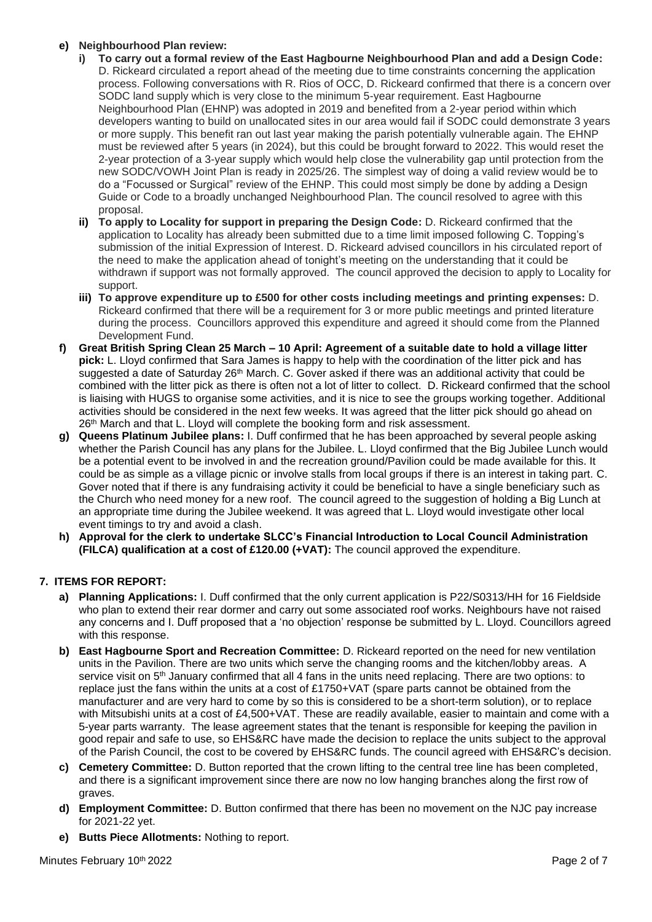### **e) Neighbourhood Plan review:**

- **i) To carry out a formal review of the East Hagbourne Neighbourhood Plan and add a Design Code:** D. Rickeard circulated a report ahead of the meeting due to time constraints concerning the application process. Following conversations with R. Rios of OCC, D. Rickeard confirmed that there is a concern over SODC land supply which is very close to the minimum 5-year requirement. East Hagbourne Neighbourhood Plan (EHNP) was adopted in 2019 and benefited from a 2-year period within which developers wanting to build on unallocated sites in our area would fail if SODC could demonstrate 3 years or more supply. This benefit ran out last year making the parish potentially vulnerable again. The EHNP must be reviewed after 5 years (in 2024), but this could be brought forward to 2022. This would reset the 2-year protection of a 3-year supply which would help close the vulnerability gap until protection from the new SODC/VOWH Joint Plan is ready in 2025/26. The simplest way of doing a valid review would be to do a "Focussed or Surgical" review of the EHNP. This could most simply be done by adding a Design Guide or Code to a broadly unchanged Neighbourhood Plan. The council resolved to agree with this proposal.
- **ii) To apply to Locality for support in preparing the Design Code:** D. Rickeard confirmed that the application to Locality has already been submitted due to a time limit imposed following C. Topping's submission of the initial Expression of Interest. D. Rickeard advised councillors in his circulated report of the need to make the application ahead of tonight's meeting on the understanding that it could be withdrawn if support was not formally approved. The council approved the decision to apply to Locality for support.
- **iii) To approve expenditure up to £500 for other costs including meetings and printing expenses:** D. Rickeard confirmed that there will be a requirement for 3 or more public meetings and printed literature during the process. Councillors approved this expenditure and agreed it should come from the Planned Development Fund.
- **f) Great British Spring Clean 25 March – 10 April: Agreement of a suitable date to hold a village litter pick:** L. Lloyd confirmed that Sara James is happy to help with the coordination of the litter pick and has suggested a date of Saturday 26<sup>th</sup> March. C. Gover asked if there was an additional activity that could be combined with the litter pick as there is often not a lot of litter to collect. D. Rickeard confirmed that the school is liaising with HUGS to organise some activities, and it is nice to see the groups working together. Additional activities should be considered in the next few weeks. It was agreed that the litter pick should go ahead on 26<sup>th</sup> March and that L. Lloyd will complete the booking form and risk assessment.
- **g) Queens Platinum Jubilee plans:** I. Duff confirmed that he has been approached by several people asking whether the Parish Council has any plans for the Jubilee. L. Lloyd confirmed that the Big Jubilee Lunch would be a potential event to be involved in and the recreation ground/Pavilion could be made available for this. It could be as simple as a village picnic or involve stalls from local groups if there is an interest in taking part. C. Gover noted that if there is any fundraising activity it could be beneficial to have a single beneficiary such as the Church who need money for a new roof. The council agreed to the suggestion of holding a Big Lunch at an appropriate time during the Jubilee weekend. It was agreed that L. Lloyd would investigate other local event timings to try and avoid a clash.
- **h) Approval for the clerk to undertake SLCC's Financial Introduction to Local Council Administration (FILCA) qualification at a cost of £120.00 (+VAT):** The council approved the expenditure.

## **7. ITEMS FOR REPORT:**

- **a) Planning Applications:** I. Duff confirmed that the only current application is P22/S0313/HH for 16 Fieldside who plan to extend their rear dormer and carry out some associated roof works. Neighbours have not raised any concerns and I. Duff proposed that a 'no objection' response be submitted by L. Lloyd. Councillors agreed with this response.
- **b) East Hagbourne Sport and Recreation Committee:** D. Rickeard reported on the need for new ventilation units in the Pavilion. There are two units which serve the changing rooms and the kitchen/lobby areas. A service visit on 5<sup>th</sup> January confirmed that all 4 fans in the units need replacing. There are two options: to replace just the fans within the units at a cost of £1750+VAT (spare parts cannot be obtained from the manufacturer and are very hard to come by so this is considered to be a short-term solution), or to replace with Mitsubishi units at a cost of £4,500+VAT. These are readily available, easier to maintain and come with a 5-year parts warranty. The lease agreement states that the tenant is responsible for keeping the pavilion in good repair and safe to use, so EHS&RC have made the decision to replace the units subject to the approval of the Parish Council, the cost to be covered by EHS&RC funds. The council agreed with EHS&RC's decision.
- **c) Cemetery Committee:** D. Button reported that the crown lifting to the central tree line has been completed, and there is a significant improvement since there are now no low hanging branches along the first row of graves.
- **d) Employment Committee:** D. Button confirmed that there has been no movement on the NJC pay increase for 2021-22 yet.
- **e) Butts Piece Allotments:** Nothing to report.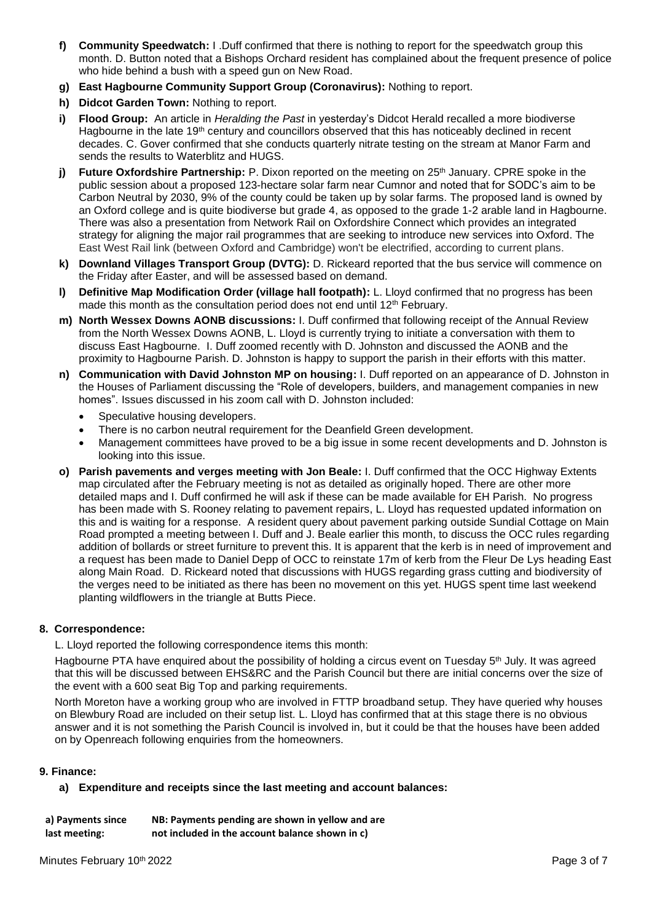- **f) Community Speedwatch:** I .Duff confirmed that there is nothing to report for the speedwatch group this month. D. Button noted that a Bishops Orchard resident has complained about the frequent presence of police who hide behind a bush with a speed gun on New Road.
- **g) East Hagbourne Community Support Group (Coronavirus):** Nothing to report.
- **h) Didcot Garden Town:** Nothing to report.
- **i) Flood Group:** An article in *Heralding the Past* in yesterday's Didcot Herald recalled a more biodiverse Hagbourne in the late 19<sup>th</sup> century and councillors observed that this has noticeably declined in recent decades. C. Gover confirmed that she conducts quarterly nitrate testing on the stream at Manor Farm and sends the results to Waterblitz and HUGS.
- **j)** Future Oxfordshire Partnership: P. Dixon reported on the meeting on 25<sup>th</sup> January. CPRE spoke in the public session about a proposed 123-hectare solar farm near Cumnor and noted that for SODC's aim to be Carbon Neutral by 2030, 9% of the county could be taken up by solar farms. The proposed land is owned by an Oxford college and is quite biodiverse but grade 4, as opposed to the grade 1-2 arable land in Hagbourne. There was also a presentation from Network Rail on Oxfordshire Connect which provides an integrated strategy for aligning the major rail programmes that are seeking to introduce new services into Oxford. The East West Rail link (between Oxford and Cambridge) won't be electrified, according to current plans.
- **k) Downland Villages Transport Group (DVTG):** D. Rickeard reported that the bus service will commence on the Friday after Easter, and will be assessed based on demand.
- **l) Definitive Map Modification Order (village hall footpath):** L. Lloyd confirmed that no progress has been made this month as the consultation period does not end until  $12<sup>th</sup>$  February.
- **m) North Wessex Downs AONB discussions:** I. Duff confirmed that following receipt of the Annual Review from the North Wessex Downs AONB, L. Lloyd is currently trying to initiate a conversation with them to discuss East Hagbourne. I. Duff zoomed recently with D. Johnston and discussed the AONB and the proximity to Hagbourne Parish. D. Johnston is happy to support the parish in their efforts with this matter.
- **n) Communication with David Johnston MP on housing:** I. Duff reported on an appearance of D. Johnston in the Houses of Parliament discussing the "Role of developers, builders, and management companies in new homes". Issues discussed in his zoom call with D. Johnston included:
	- Speculative housing developers.
	- There is no carbon neutral requirement for the Deanfield Green development.
	- Management committees have proved to be a big issue in some recent developments and D. Johnston is looking into this issue.
- **o) Parish pavements and verges meeting with Jon Beale:** I. Duff confirmed that the OCC Highway Extents map circulated after the February meeting is not as detailed as originally hoped. There are other more detailed maps and I. Duff confirmed he will ask if these can be made available for EH Parish. No progress has been made with S. Rooney relating to pavement repairs, L. Lloyd has requested updated information on this and is waiting for a response. A resident query about pavement parking outside Sundial Cottage on Main Road prompted a meeting between I. Duff and J. Beale earlier this month, to discuss the OCC rules regarding addition of bollards or street furniture to prevent this. It is apparent that the kerb is in need of improvement and a request has been made to Daniel Depp of OCC to reinstate 17m of kerb from the Fleur De Lys heading East along Main Road. D. Rickeard noted that discussions with HUGS regarding grass cutting and biodiversity of the verges need to be initiated as there has been no movement on this yet. HUGS spent time last weekend planting wildflowers in the triangle at Butts Piece.

#### **8. Correspondence:**

L. Lloyd reported the following correspondence items this month:

Hagbourne PTA have enquired about the possibility of holding a circus event on Tuesday 5<sup>th</sup> July. It was agreed that this will be discussed between EHS&RC and the Parish Council but there are initial concerns over the size of the event with a 600 seat Big Top and parking requirements.

North Moreton have a working group who are involved in FTTP broadband setup. They have queried why houses on Blewbury Road are included on their setup list. L. Lloyd has confirmed that at this stage there is no obvious answer and it is not something the Parish Council is involved in, but it could be that the houses have been added on by Openreach following enquiries from the homeowners.

#### **9. Finance:**

**a) Expenditure and receipts since the last meeting and account balances:**

| a) Payments since | NB: Payments pending are shown in yellow and are |
|-------------------|--------------------------------------------------|
| last meeting:     | not included in the account balance shown in c)  |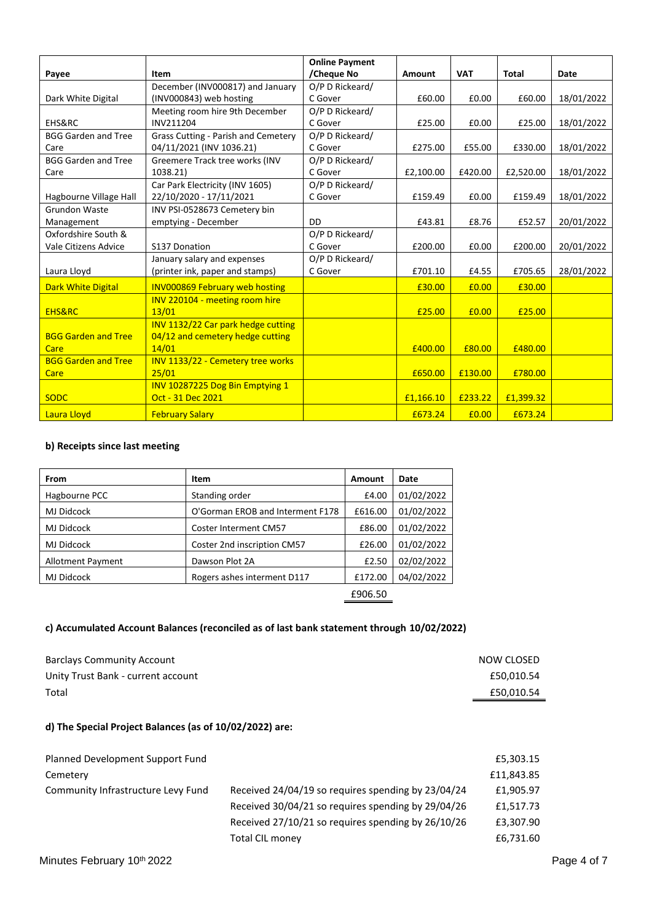|                            |                                       | <b>Online Payment</b> |           |            |           |            |
|----------------------------|---------------------------------------|-----------------------|-----------|------------|-----------|------------|
| Payee                      | Item                                  | /Cheque No            | Amount    | <b>VAT</b> | Total     | Date       |
|                            | December (INV000817) and January      | O/P D Rickeard/       |           |            |           |            |
| Dark White Digital         | (INV000843) web hosting               | C Gover               | £60.00    | £0.00      | £60.00    | 18/01/2022 |
|                            | Meeting room hire 9th December        | O/P D Rickeard/       |           |            |           |            |
| EHS&RC                     | INV211204                             | C Gover               | £25.00    | £0.00      | £25.00    | 18/01/2022 |
| <b>BGG Garden and Tree</b> | Grass Cutting - Parish and Cemetery   | O/P D Rickeard/       |           |            |           |            |
| Care                       | 04/11/2021 (INV 1036.21)              | C Gover               | £275.00   | £55.00     | £330.00   | 18/01/2022 |
| <b>BGG Garden and Tree</b> | Greemere Track tree works (INV        | O/P D Rickeard/       |           |            |           |            |
| Care                       | 1038.21)                              | C Gover               | £2,100.00 | £420.00    | £2,520.00 | 18/01/2022 |
|                            | Car Park Electricity (INV 1605)       | O/P D Rickeard/       |           |            |           |            |
| Hagbourne Village Hall     | 22/10/2020 - 17/11/2021               | C Gover               | £159.49   | £0.00      | £159.49   | 18/01/2022 |
| Grundon Waste              | INV PSI-0528673 Cemetery bin          |                       |           |            |           |            |
| Management                 | emptying - December                   | DD                    | £43.81    | £8.76      | £52.57    | 20/01/2022 |
| Oxfordshire South &        |                                       | O/P D Rickeard/       |           |            |           |            |
| Vale Citizens Advice       | S137 Donation                         | C Gover               | £200.00   | £0.00      | £200.00   | 20/01/2022 |
|                            | January salary and expenses           | O/P D Rickeard/       |           |            |           |            |
| Laura Lloyd                | (printer ink, paper and stamps)       | C Gover               | £701.10   | £4.55      | £705.65   | 28/01/2022 |
| <b>Dark White Digital</b>  | <b>INV000869 February web hosting</b> |                       | £30.00    | £0.00      | £30.00    |            |
|                            | INV 220104 - meeting room hire        |                       |           |            |           |            |
| <b>EHS&amp;RC</b>          | 13/01                                 |                       | £25.00    | £0.00      | £25.00    |            |
|                            | INV 1132/22 Car park hedge cutting    |                       |           |            |           |            |
| <b>BGG Garden and Tree</b> | 04/12 and cemetery hedge cutting      |                       |           |            |           |            |
| Care                       | 14/01                                 |                       | £400.00   | £80.00     | £480.00   |            |
| <b>BGG Garden and Tree</b> | INV 1133/22 - Cemetery tree works     |                       |           |            |           |            |
| Care                       | 25/01                                 |                       | £650.00   | £130.00    | £780.00   |            |
|                            | INV 10287225 Dog Bin Emptying 1       |                       |           |            |           |            |
| <b>SODC</b>                | Oct - 31 Dec 2021                     |                       | £1,166.10 | £233.22    | £1,399.32 |            |
| Laura Lloyd                | <b>February Salary</b>                |                       | £673.24   | £0.00      | £673.24   |            |

## **b) Receipts since last meeting**

| <b>From</b>              | Item                             | Amount  | Date       |
|--------------------------|----------------------------------|---------|------------|
| Hagbourne PCC            | Standing order                   | £4.00   | 01/02/2022 |
| MJ Didcock               | O'Gorman EROB and Interment F178 | £616.00 | 01/02/2022 |
| MJ Didcock               | <b>Coster Interment CM57</b>     | £86.00  | 01/02/2022 |
| MJ Didcock               | Coster 2nd inscription CM57      | £26.00  | 01/02/2022 |
| <b>Allotment Payment</b> | Dawson Plot 2A                   | £2.50   | 02/02/2022 |
| MJ Didcock               | Rogers ashes interment D117      | £172.00 | 04/02/2022 |
|                          |                                  | £906.50 |            |

### **c) Accumulated Account Balances (reconciled as of last bank statement through 10/02/2022)**

| NOW CLOSED |
|------------|
| £50.010.54 |
| £50,010.54 |
|            |

## **d) The Special Project Balances (as of 10/02/2022) are:**

| Planned Development Support Fund   |                                                    | £5,303.15  |
|------------------------------------|----------------------------------------------------|------------|
| Cemetery                           |                                                    | £11,843.85 |
| Community Infrastructure Levy Fund | Received 24/04/19 so requires spending by 23/04/24 | £1,905.97  |
|                                    | Received 30/04/21 so requires spending by 29/04/26 | £1,517.73  |
|                                    | Received 27/10/21 so requires spending by 26/10/26 | £3,307.90  |
|                                    | <b>Total CIL money</b>                             | £6,731.60  |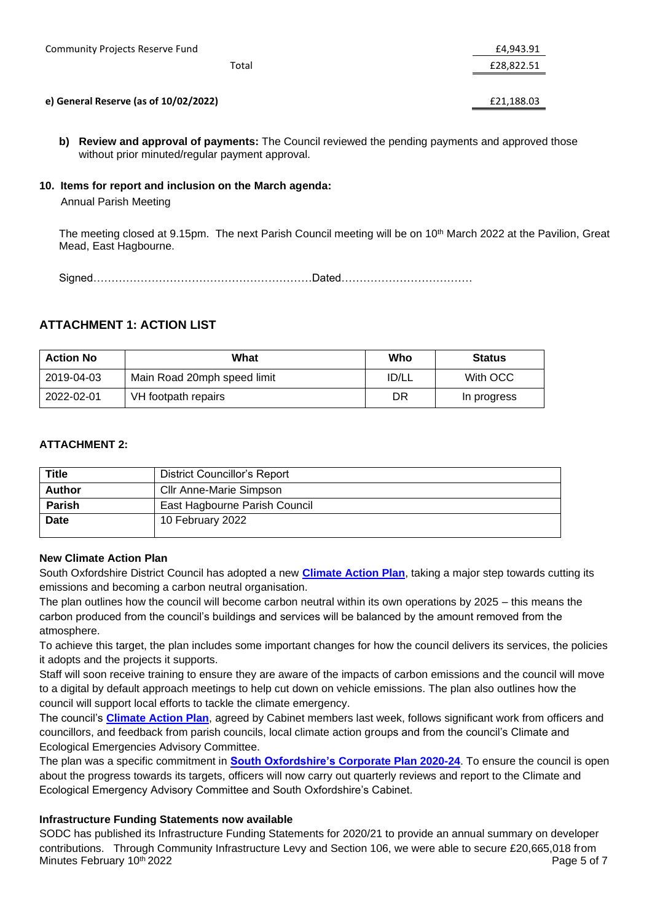| <b>Community Projects Reserve Fund</b> | £4,943.91  |
|----------------------------------------|------------|
| Total                                  | £28,822.51 |
|                                        |            |
| e) General Reserve (as of 10/02/2022)  | £21,188.03 |

**b) Review and approval of payments:** The Council reviewed the pending payments and approved those without prior minuted/regular payment approval.

## **10. Items for report and inclusion on the March agenda:**

Annual Parish Meeting

The meeting closed at 9.15pm. The next Parish Council meeting will be on 10<sup>th</sup> March 2022 at the Pavilion, Great Mead, East Hagbourne.

Signed……………………………………………………Dated………………………………

# **ATTACHMENT 1: ACTION LIST**

| <b>Action No</b> | What                        | Who   | <b>Status</b> |
|------------------|-----------------------------|-------|---------------|
| 2019-04-03       | Main Road 20mph speed limit | ID/LL | With OCC      |
| 2022-02-01       | VH footpath repairs         | DR    | In progress   |

### **ATTACHMENT 2:**

| <b>Title</b>  | District Councillor's Report  |
|---------------|-------------------------------|
| <b>Author</b> | Cllr Anne-Marie Simpson       |
| <b>Parish</b> | East Hagbourne Parish Council |
| <b>Date</b>   | 10 February 2022              |

### **New Climate Action Plan**

South Oxfordshire District Council has adopted a new **[Climate Action Plan](https://www.southoxon.gov.uk/wp-content/uploads/sites/2/2022/02/South-Climate-Action-plan-2022-2024.pdf)**, taking a major step towards cutting its emissions and becoming a carbon neutral organisation.

The plan outlines how the council will become carbon neutral within its own operations by 2025 – this means the carbon produced from the council's buildings and services will be balanced by the amount removed from the atmosphere.

To achieve this target, the plan includes some important changes for how the council delivers its services, the policies it adopts and the projects it supports.

Staff will soon receive training to ensure they are aware of the impacts of carbon emissions and the council will move to a digital by default approach meetings to help cut down on vehicle emissions. The plan also outlines how the council will support local efforts to tackle the climate emergency.

The council's **[Climate Action Plan](https://www.southoxon.gov.uk/wp-content/uploads/sites/2/2022/02/South-Climate-Action-plan-2022-2024.pdf)**, agreed by Cabinet members last week, follows significant work from officers and councillors, and feedback from parish councils, local climate action groups and from the council's Climate and Ecological Emergencies Advisory Committee.

The plan was a specific commitment in **[South Oxfordshire's Corporate Plan 2020-24](https://www.southoxon.gov.uk/south-oxfordshire-district-council/about-the-council/corporate-plan/)**. To ensure the council is open about the progress towards its targets, officers will now carry out quarterly reviews and report to the Climate and Ecological Emergency Advisory Committee and South Oxfordshire's Cabinet.

# **Infrastructure Funding Statements now available**

Minutes February 10th 2022 Page 5 of 7 SODC has published its Infrastructure Funding Statements for 2020/21 to provide an annual summary on developer contributions. Through Community Infrastructure Levy and Section 106, we were able to secure £20,665,018 from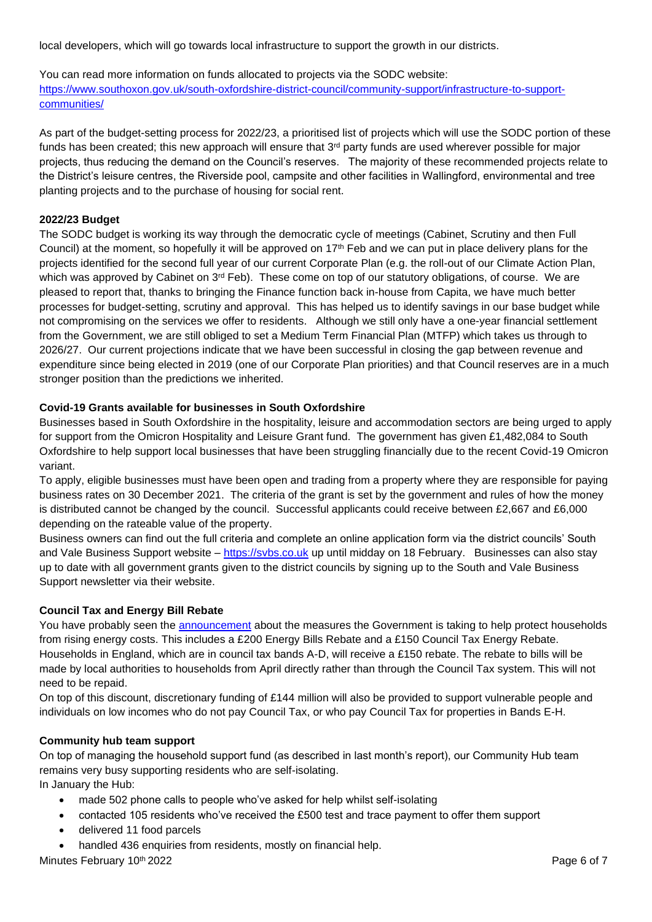local developers, which will go towards local infrastructure to support the growth in our districts.

You can read more information on funds allocated to projects via the SODC website: [https://www.southoxon.gov.uk/south-oxfordshire-district-council/community-support/infrastructure-to-support](https://www.southoxon.gov.uk/south-oxfordshire-district-council/community-support/infrastructure-to-support-communities/)[communities/](https://www.southoxon.gov.uk/south-oxfordshire-district-council/community-support/infrastructure-to-support-communities/)

As part of the budget-setting process for 2022/23, a prioritised list of projects which will use the SODC portion of these funds has been created; this new approach will ensure that 3<sup>rd</sup> party funds are used wherever possible for major projects, thus reducing the demand on the Council's reserves. The majority of these recommended projects relate to the District's leisure centres, the Riverside pool, campsite and other facilities in Wallingford, environmental and tree planting projects and to the purchase of housing for social rent.

### **2022/23 Budget**

The SODC budget is working its way through the democratic cycle of meetings (Cabinet, Scrutiny and then Full Council) at the moment, so hopefully it will be approved on  $17<sup>th</sup>$  Feb and we can put in place delivery plans for the projects identified for the second full year of our current Corporate Plan (e.g. the roll-out of our Climate Action Plan, which was approved by Cabinet on 3<sup>rd</sup> Feb). These come on top of our statutory obligations, of course. We are pleased to report that, thanks to bringing the Finance function back in-house from Capita, we have much better processes for budget-setting, scrutiny and approval. This has helped us to identify savings in our base budget while not compromising on the services we offer to residents. Although we still only have a one-year financial settlement from the Government, we are still obliged to set a Medium Term Financial Plan (MTFP) which takes us through to 2026/27. Our current projections indicate that we have been successful in closing the gap between revenue and expenditure since being elected in 2019 (one of our Corporate Plan priorities) and that Council reserves are in a much stronger position than the predictions we inherited.

#### **Covid-19 Grants available for businesses in South Oxfordshire**

Businesses based in South Oxfordshire in the hospitality, leisure and accommodation sectors are being urged to apply for support from the Omicron Hospitality and Leisure Grant fund. The government has given £1,482,084 to South Oxfordshire to help support local businesses that have been struggling financially due to the recent Covid-19 Omicron variant.

To apply, eligible businesses must have been open and trading from a property where they are responsible for paying business rates on 30 December 2021. The criteria of the grant is set by the government and rules of how the money is distributed cannot be changed by the council. Successful applicants could receive between £2,667 and £6,000 depending on the rateable value of the property.

Business owners can find out the full criteria and complete an online application form via the district councils' South and Vale Business Support website – [https://svbs.co.uk](https://svbs.co.uk/) up until midday on 18 February. Businesses can also stay up to date with all government grants given to the district councils by signing up to the South and Vale Business Support newsletter via their website.

### **Council Tax and Energy Bill Rebate**

You have probably seen the [announcement](https://www.gov.uk/government/news/millions-to-receive-350-boost-to-help-with-rising-energy-costs) about the measures the Government is taking to help protect households from rising energy costs. This includes a £200 Energy Bills Rebate and a £150 Council Tax Energy Rebate. Households in England, which are in council tax bands A-D, will receive a £150 rebate. The rebate to bills will be made by local authorities to households from April directly rather than through the Council Tax system. This will not need to be repaid.

On top of this discount, discretionary funding of £144 million will also be provided to support vulnerable people and individuals on low incomes who do not pay Council Tax, or who pay Council Tax for properties in Bands E-H.

#### **Community hub team support**

On top of managing the household support fund (as described in last month's report), our Community Hub team remains very busy supporting residents who are self-isolating.

In January the Hub:

- made 502 phone calls to people who've asked for help whilst self-isolating
- contacted 105 residents who've received the £500 test and trace payment to offer them support
- delivered 11 food parcels
- handled 436 enquiries from residents, mostly on financial help.

Minutes February 10th 2022